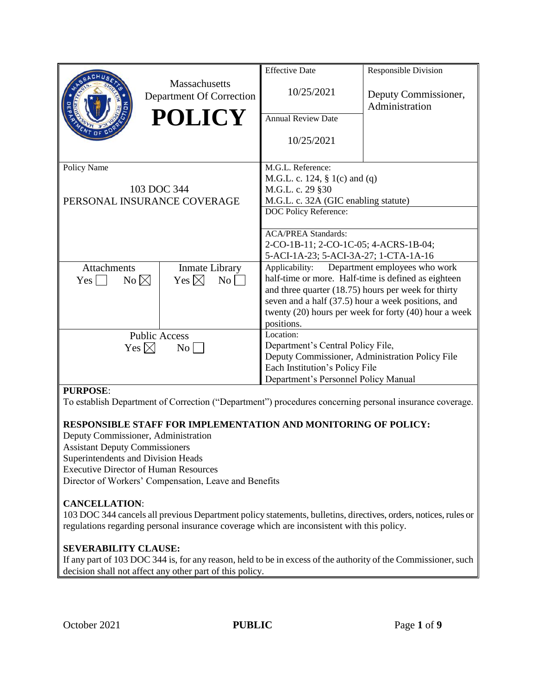| <b>Massachusetts</b><br>10/25/2021<br>Deputy Commissioner,<br>Department Of Correction<br>Administration<br><b>POLICY</b><br><b>Annual Review Date</b><br>10/25/2021<br>Policy Name<br>M.G.L. Reference:<br>M.G.L. c. 124, $\S$ 1(c) and (q)<br>103 DOC 344<br>M.G.L. c. 29 §30<br>M.G.L. c. 32A (GIC enabling statute)<br>PERSONAL INSURANCE COVERAGE<br>DOC Policy Reference:<br><b>ACA/PREA Standards:</b><br>2-CO-1B-11; 2-CO-1C-05; 4-ACRS-1B-04;<br>5-ACI-1A-23; 5-ACI-3A-27; 1-CTA-1A-16<br>Applicability:<br>Department employees who work<br><b>Attachments</b><br><b>Inmate Library</b><br>half-time or more. Half-time is defined as eighteen<br>Yes $\boxtimes$<br>No $\boxtimes$<br>No<br>$Yes \mid \mid$ |                                       |  | <b>Effective Date</b>                           | <b>Responsible Division</b> |
|------------------------------------------------------------------------------------------------------------------------------------------------------------------------------------------------------------------------------------------------------------------------------------------------------------------------------------------------------------------------------------------------------------------------------------------------------------------------------------------------------------------------------------------------------------------------------------------------------------------------------------------------------------------------------------------------------------------------|---------------------------------------|--|-------------------------------------------------|-----------------------------|
|                                                                                                                                                                                                                                                                                                                                                                                                                                                                                                                                                                                                                                                                                                                        |                                       |  |                                                 |                             |
|                                                                                                                                                                                                                                                                                                                                                                                                                                                                                                                                                                                                                                                                                                                        |                                       |  |                                                 |                             |
|                                                                                                                                                                                                                                                                                                                                                                                                                                                                                                                                                                                                                                                                                                                        |                                       |  |                                                 |                             |
|                                                                                                                                                                                                                                                                                                                                                                                                                                                                                                                                                                                                                                                                                                                        |                                       |  |                                                 |                             |
|                                                                                                                                                                                                                                                                                                                                                                                                                                                                                                                                                                                                                                                                                                                        |                                       |  |                                                 |                             |
|                                                                                                                                                                                                                                                                                                                                                                                                                                                                                                                                                                                                                                                                                                                        |                                       |  |                                                 |                             |
|                                                                                                                                                                                                                                                                                                                                                                                                                                                                                                                                                                                                                                                                                                                        |                                       |  |                                                 |                             |
|                                                                                                                                                                                                                                                                                                                                                                                                                                                                                                                                                                                                                                                                                                                        |                                       |  |                                                 |                             |
|                                                                                                                                                                                                                                                                                                                                                                                                                                                                                                                                                                                                                                                                                                                        |                                       |  |                                                 |                             |
|                                                                                                                                                                                                                                                                                                                                                                                                                                                                                                                                                                                                                                                                                                                        |                                       |  |                                                 |                             |
|                                                                                                                                                                                                                                                                                                                                                                                                                                                                                                                                                                                                                                                                                                                        |                                       |  |                                                 |                             |
|                                                                                                                                                                                                                                                                                                                                                                                                                                                                                                                                                                                                                                                                                                                        |                                       |  |                                                 |                             |
|                                                                                                                                                                                                                                                                                                                                                                                                                                                                                                                                                                                                                                                                                                                        |                                       |  |                                                 |                             |
| and three quarter $(18.75)$ hours per week for thirty                                                                                                                                                                                                                                                                                                                                                                                                                                                                                                                                                                                                                                                                  |                                       |  |                                                 |                             |
| seven and a half (37.5) hour a week positions, and<br>twenty (20) hours per week for forty (40) hour a week                                                                                                                                                                                                                                                                                                                                                                                                                                                                                                                                                                                                            |                                       |  |                                                 |                             |
| positions.                                                                                                                                                                                                                                                                                                                                                                                                                                                                                                                                                                                                                                                                                                             |                                       |  |                                                 |                             |
| Location:                                                                                                                                                                                                                                                                                                                                                                                                                                                                                                                                                                                                                                                                                                              | <b>Public Access</b>                  |  |                                                 |                             |
| Department's Central Policy File,                                                                                                                                                                                                                                                                                                                                                                                                                                                                                                                                                                                                                                                                                      |                                       |  |                                                 |                             |
|                                                                                                                                                                                                                                                                                                                                                                                                                                                                                                                                                                                                                                                                                                                        | Yes $\boxtimes$<br>$\overline{N_{O}}$ |  | Deputy Commissioner, Administration Policy File |                             |
| Each Institution's Policy File                                                                                                                                                                                                                                                                                                                                                                                                                                                                                                                                                                                                                                                                                         |                                       |  |                                                 |                             |
| Department's Personnel Policy Manual                                                                                                                                                                                                                                                                                                                                                                                                                                                                                                                                                                                                                                                                                   |                                       |  |                                                 |                             |

#### **PURPOSE**:

To establish Department of Correction ("Department") procedures concerning personal insurance coverage.

#### **RESPONSIBLE STAFF FOR IMPLEMENTATION AND MONITORING OF POLICY:**

Deputy Commissioner, Administration Assistant Deputy Commissioners Superintendents and Division Heads Executive Director of Human Resources Director of Workers' Compensation, Leave and Benefits

#### **CANCELLATION**:

103 DOC 344 cancels all previous Department policy statements, bulletins, directives, orders, notices, rules or regulations regarding personal insurance coverage which are inconsistent with this policy.

#### **SEVERABILITY CLAUSE:**

If any part of 103 DOC 344 is, for any reason, held to be in excess of the authority of the Commissioner, such decision shall not affect any other part of this policy.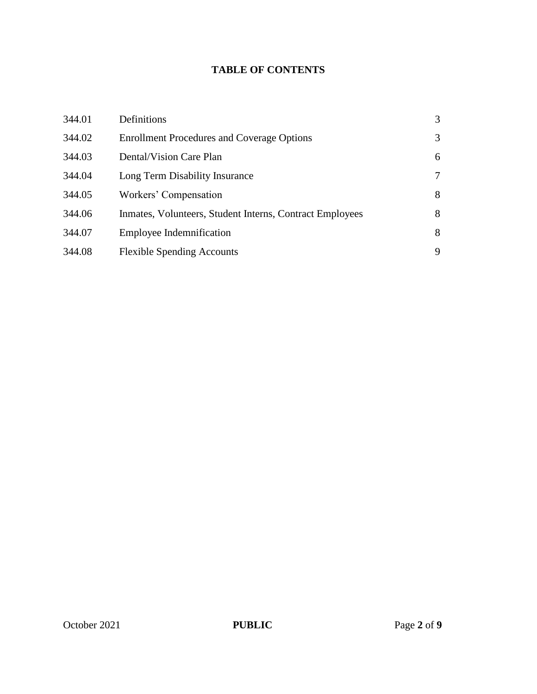# **TABLE OF CONTENTS**

| 344.01 | Definitions                                              | 3 |
|--------|----------------------------------------------------------|---|
| 344.02 | <b>Enrollment Procedures and Coverage Options</b>        | 3 |
| 344.03 | Dental/Vision Care Plan                                  | 6 |
| 344.04 | Long Term Disability Insurance                           | 7 |
| 344.05 | Workers' Compensation                                    | 8 |
| 344.06 | Inmates, Volunteers, Student Interns, Contract Employees | 8 |
| 344.07 | <b>Employee Indemnification</b>                          | 8 |
| 344.08 | <b>Flexible Spending Accounts</b>                        | 9 |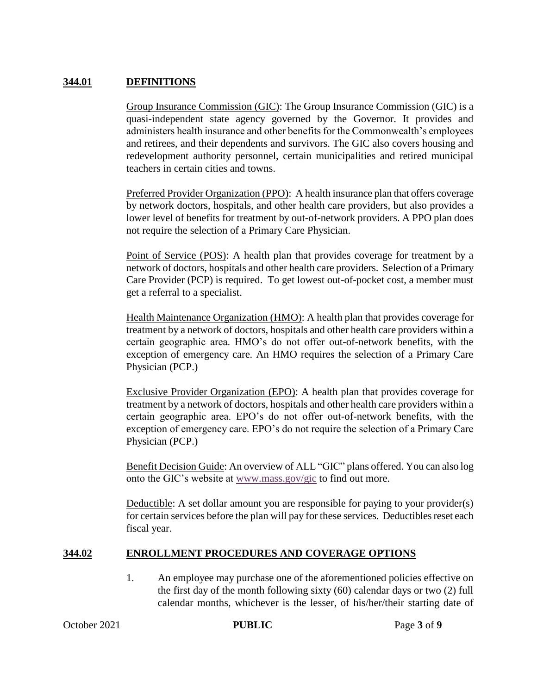### **344.01 DEFINITIONS**

Group Insurance Commission (GIC): The Group Insurance Commission (GIC) is a quasi-independent state agency governed by the Governor. It provides and administers health insurance and other benefits for the Commonwealth's employees and retirees, and their dependents and survivors. The GIC also covers housing and redevelopment authority personnel, certain municipalities and retired municipal teachers in certain cities and towns.

Preferred Provider Organization (PPO): A health insurance plan that offers coverage by network doctors, hospitals, and other health care providers, but also provides a lower level of benefits for treatment by out-of-network providers. A PPO plan does not require the selection of a Primary Care Physician.

Point of Service (POS): A health plan that provides coverage for treatment by a network of doctors, hospitals and other health care providers. Selection of a Primary Care Provider (PCP) is required. To get lowest out-of-pocket cost, a member must get a referral to a specialist.

Health Maintenance Organization (HMO): A health plan that provides coverage for treatment by a network of doctors, hospitals and other health care providers within a certain geographic area. HMO's do not offer out-of-network benefits, with the exception of emergency care. An HMO requires the selection of a Primary Care Physician (PCP.)

Exclusive Provider Organization (EPO): A health plan that provides coverage for treatment by a network of doctors, hospitals and other health care providers within a certain geographic area. EPO's do not offer out-of-network benefits, with the exception of emergency care. EPO's do not require the selection of a Primary Care Physician (PCP.)

Benefit Decision Guide: An overview of ALL "GIC" plans offered. You can also log onto the GIC's website at [www.mass.gov/gic](http://www.mass.gov/gic) to find out more.

Deductible: A set dollar amount you are responsible for paying to your provider(s) for certain services before the plan will pay for these services. Deductibles reset each fiscal year.

#### **344.02 ENROLLMENT PROCEDURES AND COVERAGE OPTIONS**

1. An employee may purchase one of the aforementioned policies effective on the first day of the month following sixty (60) calendar days or two (2) full calendar months, whichever is the lesser, of his/her/their starting date of

**October 2021 PUBLIC** Page 3 of 9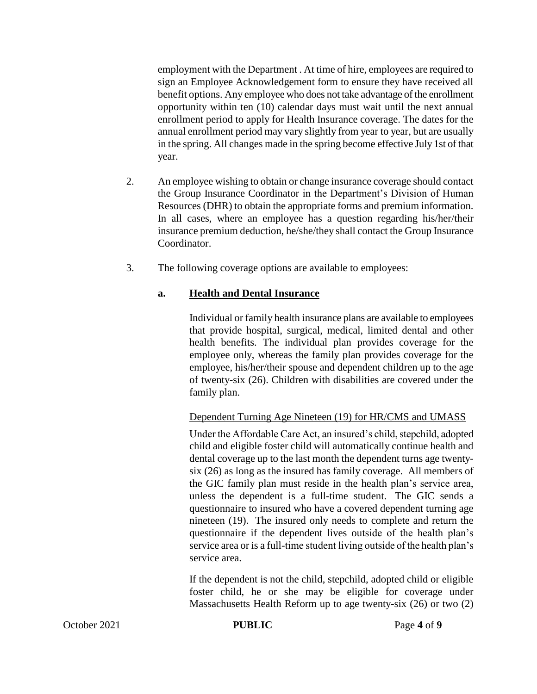employment with the Department . At time of hire, employees are required to sign an Employee Acknowledgement form to ensure they have received all benefit options. Any employee who does not take advantage of the enrollment opportunity within ten (10) calendar days must wait until the next annual enrollment period to apply for Health Insurance coverage. The dates for the annual enrollment period may vary slightly from year to year, but are usually in the spring. All changes made in the spring become effective July 1st of that year.

- 2. An employee wishing to obtain or change insurance coverage should contact the Group Insurance Coordinator in the Department's Division of Human Resources (DHR) to obtain the appropriate forms and premium information. In all cases, where an employee has a question regarding his/her/their insurance premium deduction, he/she/they shall contact the Group Insurance Coordinator.
- 3. The following coverage options are available to employees:

## **a. Health and Dental Insurance**

Individual or family health insurance plans are available to employees that provide hospital, surgical, medical, limited dental and other health benefits. The individual plan provides coverage for the employee only, whereas the family plan provides coverage for the employee, his/her/their spouse and dependent children up to the age of twenty-six (26). Children with disabilities are covered under the family plan.

Dependent Turning Age Nineteen (19) for HR/CMS and UMASS

Under the Affordable Care Act, an insured's child, stepchild, adopted child and eligible foster child will automatically continue health and dental coverage up to the last month the dependent turns age twentysix (26) as long as the insured has family coverage. All members of the GIC family plan must reside in the health plan's service area, unless the dependent is a full-time student. The GIC sends a questionnaire to insured who have a covered dependent turning age nineteen (19). The insured only needs to complete and return the questionnaire if the dependent lives outside of the health plan's service area or is a full-time student living outside of the health plan's service area.

If the dependent is not the child, stepchild, adopted child or eligible foster child, he or she may be eligible for coverage under Massachusetts Health Reform up to age twenty-six (26) or two (2)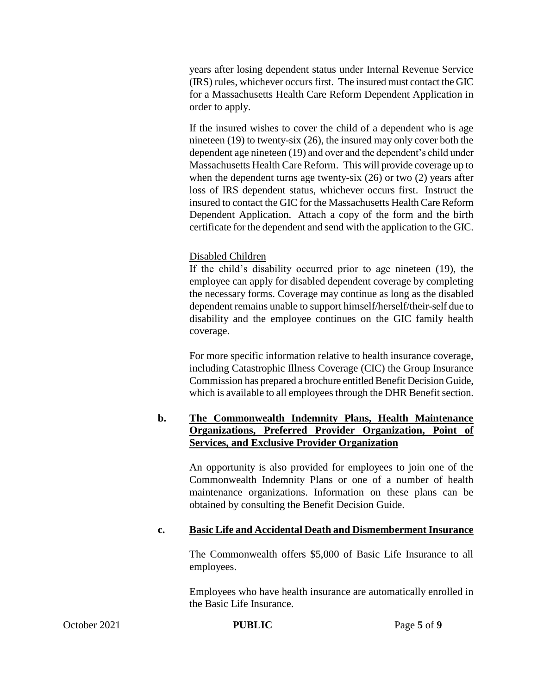years after losing dependent status under Internal Revenue Service (IRS) rules, whichever occurs first. The insured must contact the GIC for a Massachusetts Health Care Reform Dependent Application in order to apply.

If the insured wishes to cover the child of a dependent who is age nineteen (19) to twenty-six (26), the insured may only cover both the dependent age nineteen (19) and over and the dependent's child under Massachusetts Health Care Reform. This will provide coverage up to when the dependent turns age twenty-six (26) or two (2) years after loss of IRS dependent status, whichever occurs first. Instruct the insured to contact the GIC for the Massachusetts Health Care Reform Dependent Application. Attach a copy of the form and the birth certificate for the dependent and send with the application to the GIC.

#### Disabled Children

If the child's disability occurred prior to age nineteen (19), the employee can apply for disabled dependent coverage by completing the necessary forms. Coverage may continue as long as the disabled dependent remains unable to support himself/herself/their-self due to disability and the employee continues on the GIC family health coverage.

For more specific information relative to health insurance coverage, including Catastrophic Illness Coverage (CIC) the Group Insurance Commission has prepared a brochure entitled Benefit Decision Guide, which is available to all employees through the DHR Benefit section.

### **b. The Commonwealth Indemnity Plans, Health Maintenance Organizations, Preferred Provider Organization, Point of Services, and Exclusive Provider Organization**

An opportunity is also provided for employees to join one of the Commonwealth Indemnity Plans or one of a number of health maintenance organizations. Information on these plans can be obtained by consulting the Benefit Decision Guide.

#### **c. Basic Life and Accidental Death and Dismemberment Insurance**

The Commonwealth offers \$5,000 of Basic Life Insurance to all employees.

Employees who have health insurance are automatically enrolled in the Basic Life Insurance.

October 2021 **PUBLIC** Page 5 of 9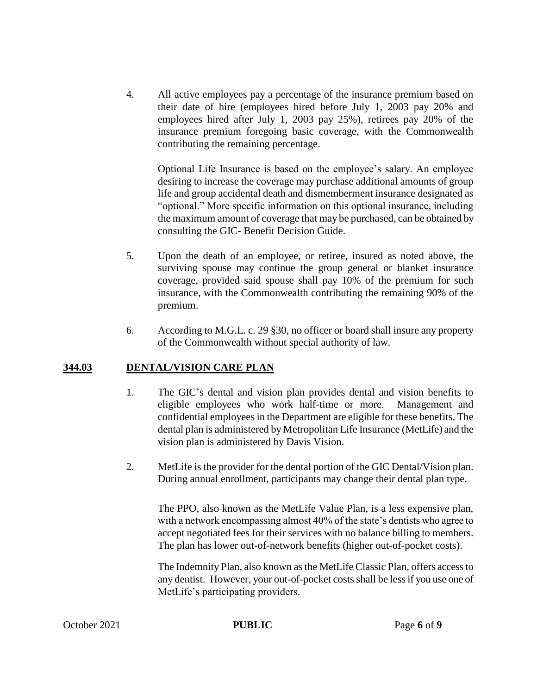4. All active employees pay a percentage of the insurance premium based on their date of hire (employees hired before July 1, 2003 pay 20% and employees hired after July 1, 2003 pay 25%), retirees pay 20% of the insurance premium foregoing basic coverage, with the Commonwealth contributing the remaining percentage.

Optional Life Insurance is based on the employee's salary. An employee desiring to increase the coverage may purchase additional amounts of group life and group accidental death and dismemberment insurance designated as "optional." More specific information on this optional insurance, including the maximum amount of coverage that may be purchased, can be obtained by consulting the GIC- Benefit Decision Guide.

- 5. Upon the death of an employee, or retiree, insured as noted above, the surviving spouse may continue the group general or blanket insurance coverage, provided said spouse shall pay 10% of the premium for such insurance, with the Commonwealth contributing the remaining 90% of the premium.
- 6. According to M.G.L. c. 29 §30, no officer or board shall insure any property of the Commonwealth without special authority of law.

#### **344.03 DENTAL/VISION CARE PLAN**

- 1. The GIC's dental and vision plan provides dental and vision benefits to eligible employees who work half-time or more. Management and confidential employees in the Department are eligible for these benefits. The dental plan is administered by Metropolitan Life Insurance (MetLife) and the vision plan is administered by Davis Vision.
- 2. MetLife is the provider for the dental portion of the GIC Dental/Vision plan. During annual enrollment, participants may change their dental plan type.

The PPO, also known as the MetLife Value Plan, is a less expensive plan, with a network encompassing almost 40% of the state's dentists who agree to accept negotiated fees for their services with no balance billing to members. The plan has lower out-of-network benefits (higher out-of-pocket costs).

The Indemnity Plan, also known as the MetLife Classic Plan, offers access to any dentist. However, your out-of-pocket costs shall be less if you use one of MetLife's participating providers.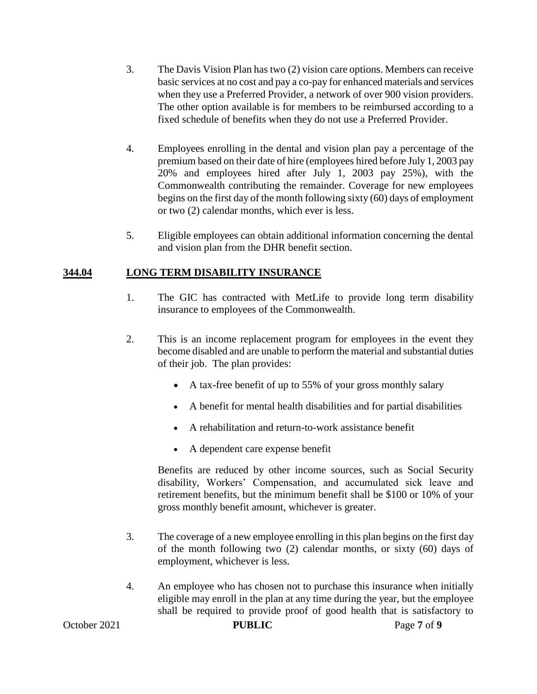- 3. The Davis Vision Plan has two (2) vision care options. Members can receive basic services at no cost and pay a co-pay for enhanced materials and services when they use a Preferred Provider, a network of over 900 vision providers. The other option available is for members to be reimbursed according to a fixed schedule of benefits when they do not use a Preferred Provider.
- 4. Employees enrolling in the dental and vision plan pay a percentage of the premium based on their date of hire (employees hired before July 1, 2003 pay 20% and employees hired after July 1, 2003 pay 25%), with the Commonwealth contributing the remainder. Coverage for new employees begins on the first day of the month following sixty (60) days of employment or two (2) calendar months, which ever is less.
- 5. Eligible employees can obtain additional information concerning the dental and vision plan from the DHR benefit section.

### **344.04 LONG TERM DISABILITY INSURANCE**

- 1. The GIC has contracted with MetLife to provide long term disability insurance to employees of the Commonwealth.
- 2. This is an income replacement program for employees in the event they become disabled and are unable to perform the material and substantial duties of their job. The plan provides:
	- A tax-free benefit of up to 55% of your gross monthly salary
	- A benefit for mental health disabilities and for partial disabilities
	- A rehabilitation and return-to-work assistance benefit
	- A dependent care expense benefit

Benefits are reduced by other income sources, such as Social Security disability, Workers' Compensation, and accumulated sick leave and retirement benefits, but the minimum benefit shall be \$100 or 10% of your gross monthly benefit amount, whichever is greater.

- 3. The coverage of a new employee enrolling in this plan begins on the first day of the month following two (2) calendar months, or sixty (60) days of employment, whichever is less.
- 4. An employee who has chosen not to purchase this insurance when initially eligible may enroll in the plan at any time during the year, but the employee shall be required to provide proof of good health that is satisfactory to

October 2021 **PUBLIC** Page 7 of 9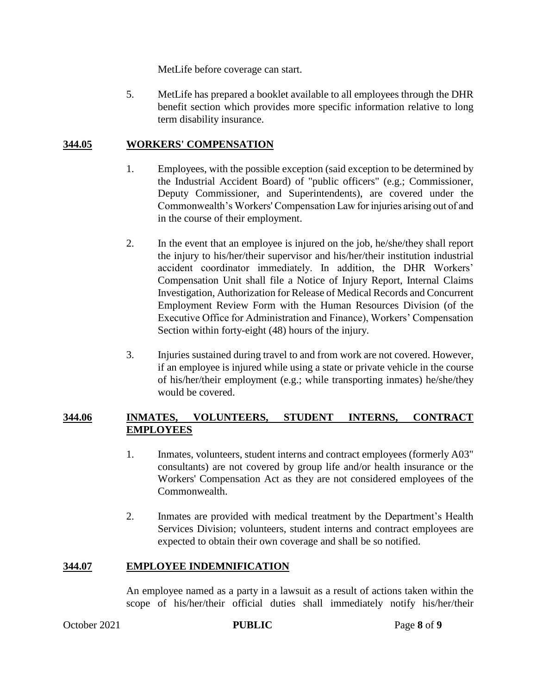MetLife before coverage can start.

5. MetLife has prepared a booklet available to all employees through the DHR benefit section which provides more specific information relative to long term disability insurance.

### **344.05 WORKERS' COMPENSATION**

- 1. Employees, with the possible exception (said exception to be determined by the Industrial Accident Board) of "public officers" (e.g.; Commissioner, Deputy Commissioner, and Superintendents), are covered under the Commonwealth's Workers' Compensation Law for injuries arising out of and in the course of their employment.
- 2. In the event that an employee is injured on the job, he/she/they shall report the injury to his/her/their supervisor and his/her/their institution industrial accident coordinator immediately. In addition, the DHR Workers' Compensation Unit shall file a Notice of Injury Report, Internal Claims Investigation, Authorization for Release of Medical Records and Concurrent Employment Review Form with the Human Resources Division (of the Executive Office for Administration and Finance), Workers' Compensation Section within forty-eight (48) hours of the injury.
- 3. Injuries sustained during travel to and from work are not covered. However, if an employee is injured while using a state or private vehicle in the course of his/her/their employment (e.g.; while transporting inmates) he/she/they would be covered.

### **344.06 INMATES, VOLUNTEERS, STUDENT INTERNS, CONTRACT EMPLOYEES**

- 1. Inmates, volunteers, student interns and contract employees (formerly A03" consultants) are not covered by group life and/or health insurance or the Workers' Compensation Act as they are not considered employees of the Commonwealth.
- 2. Inmates are provided with medical treatment by the Department's Health Services Division; volunteers, student interns and contract employees are expected to obtain their own coverage and shall be so notified.

## **344.07 EMPLOYEE INDEMNIFICATION**

An employee named as a party in a lawsuit as a result of actions taken within the scope of his/her/their official duties shall immediately notify his/her/their

**October 2021 PUBLIC** Page 8 of 9